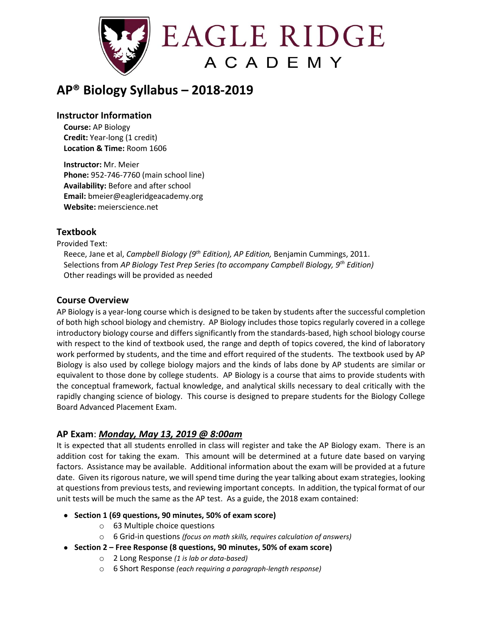

# **AP® Biology Syllabus – 2018-2019**

#### **Instructor Information**

**Course:** AP Biology **Credit:** Year-long (1 credit) **Location & Time:** Room 1606

**Instructor:** Mr. Meier **Phone:** 952-746-7760 (main school line) **Availability:** Before and after school **Email:** bmeier@eagleridgeacademy.org **Website:** meierscience.net

# **Textbook**

Provided Text:

Reece, Jane et al, *Campbell Biology (9 th Edition), AP Edition,* Benjamin Cummings, 2011. Selections from *AP Biology Test Prep Series (to accompany Campbell Biology, 9th Edition)* Other readings will be provided as needed

#### **Course Overview**

AP Biology is a year-long course which is designed to be taken by students after the successful completion of both high school biology and chemistry. AP Biology includes those topics regularly covered in a college introductory biology course and differs significantly from the standards-based, high school biology course with respect to the kind of textbook used, the range and depth of topics covered, the kind of laboratory work performed by students, and the time and effort required of the students. The textbook used by AP Biology is also used by college biology majors and the kinds of labs done by AP students are similar or equivalent to those done by college students. AP Biology is a course that aims to provide students with the conceptual framework, factual knowledge, and analytical skills necessary to deal critically with the rapidly changing science of biology. This course is designed to prepare students for the Biology College Board Advanced Placement Exam.

#### **AP Exam**: *Monday, May 13, 2019 @ 8:00am*

It is expected that all students enrolled in class will register and take the AP Biology exam. There is an addition cost for taking the exam. This amount will be determined at a future date based on varying factors. Assistance may be available. Additional information about the exam will be provided at a future date. Given its rigorous nature, we will spend time during the year talking about exam strategies, looking at questions from previous tests, and reviewing important concepts. In addition, the typical format of our unit tests will be much the same as the AP test. As a guide, the 2018 exam contained:

- **Section 1 (69 questions, 90 minutes, 50% of exam score)**
	- o 63 Multiple choice questions
	- o 6 Grid-in questions *(focus on math skills, requires calculation of answers)*
- **Section 2 – Free Response (8 questions, 90 minutes, 50% of exam score)**
	- o 2 Long Response *(1 is lab or data-based)*
	- o 6 Short Response *(each requiring a paragraph-length response)*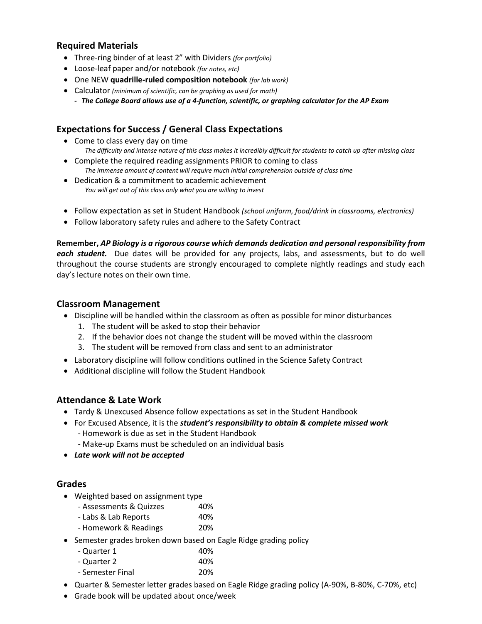#### **Required Materials**

- Three-ring binder of at least 2" with Dividers *(for portfolio)*
- Loose-leaf paper and/or notebook *(for notes, etc)*
- One NEW **quadrille-ruled composition notebook** *(for lab work)*
- Calculator *(minimum of scientific, can be graphing as used for math)*
	- **-** *The College Board allows use of a 4-function, scientific, or graphing calculator for the AP Exam*

# **Expectations for Success / General Class Expectations**

- Come to class every day on time *The difficulty and intense nature of this class makes it incredibly difficult for students to catch up after missing class*
- Complete the required reading assignments PRIOR to coming to class *The immense amount of content will require much initial comprehension outside of class time*
- Dedication & a commitment to academic achievement *You will get out of this class only what you are willing to invest*
- Follow expectation as set in Student Handbook *(school uniform, food/drink in classrooms, electronics)*
- Follow laboratory safety rules and adhere to the Safety Contract

**Remember,** *AP Biology is a rigorous course which demands dedication and personal responsibility from each student.* Due dates will be provided for any projects, labs, and assessments, but to do well throughout the course students are strongly encouraged to complete nightly readings and study each day's lecture notes on their own time.

#### **Classroom Management**

- Discipline will be handled within the classroom as often as possible for minor disturbances
	- 1. The student will be asked to stop their behavior
	- 2. If the behavior does not change the student will be moved within the classroom
	- 3. The student will be removed from class and sent to an administrator
- Laboratory discipline will follow conditions outlined in the Science Safety Contract
- Additional discipline will follow the Student Handbook

#### **Attendance & Late Work**

- Tardy & Unexcused Absence follow expectations as set in the Student Handbook
- For Excused Absence, it is the *student's responsibility to obtain & complete missed work* - Homework is due as set in the Student Handbook
	- Make-up Exams must be scheduled on an individual basis
- *Late work will not be accepted*

#### **Grades**

- Weighted based on assignment type
	- Assessments & Quizzes 40%
	- Labs & Lab Reports 40%
	- Homework & Readings 20%
- Semester grades broken down based on Eagle Ridge grading policy
	- Quarter 1 40%

| - Quarter 2      | 40% |
|------------------|-----|
| - Semester Final | 20% |

- Quarter & Semester letter grades based on Eagle Ridge grading policy (A-90%, B-80%, C-70%, etc)
- Grade book will be updated about once/week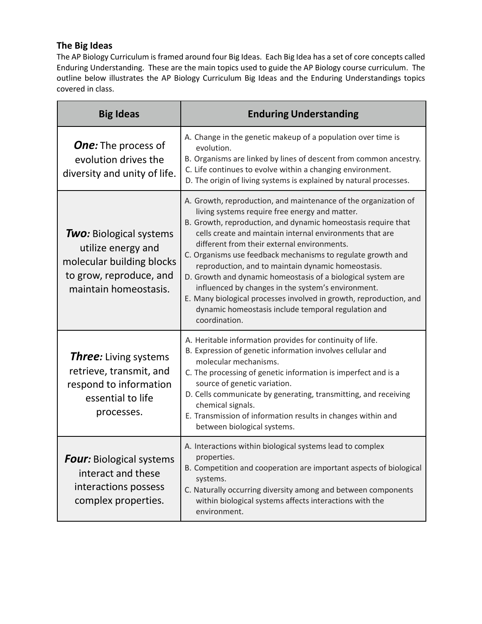# **The Big Ideas**

The AP Biology Curriculum is framed around four Big Ideas. Each Big Idea has a set of core concepts called Enduring Understanding. These are the main topics used to guide the AP Biology course curriculum. The outline below illustrates the AP Biology Curriculum Big Ideas and the Enduring Understandings topics covered in class.

| <b>Big Ideas</b>                                                                                                                      | <b>Enduring Understanding</b>                                                                                                                                                                                                                                                                                                                                                                                                                                                                                                                                                                                                                                                          |
|---------------------------------------------------------------------------------------------------------------------------------------|----------------------------------------------------------------------------------------------------------------------------------------------------------------------------------------------------------------------------------------------------------------------------------------------------------------------------------------------------------------------------------------------------------------------------------------------------------------------------------------------------------------------------------------------------------------------------------------------------------------------------------------------------------------------------------------|
| <b>One:</b> The process of<br>evolution drives the<br>diversity and unity of life.                                                    | A. Change in the genetic makeup of a population over time is<br>evolution.<br>B. Organisms are linked by lines of descent from common ancestry.<br>C. Life continues to evolve within a changing environment.<br>D. The origin of living systems is explained by natural processes.                                                                                                                                                                                                                                                                                                                                                                                                    |
| <b>Two:</b> Biological systems<br>utilize energy and<br>molecular building blocks<br>to grow, reproduce, and<br>maintain homeostasis. | A. Growth, reproduction, and maintenance of the organization of<br>living systems require free energy and matter.<br>B. Growth, reproduction, and dynamic homeostasis require that<br>cells create and maintain internal environments that are<br>different from their external environments.<br>C. Organisms use feedback mechanisms to regulate growth and<br>reproduction, and to maintain dynamic homeostasis.<br>D. Growth and dynamic homeostasis of a biological system are<br>influenced by changes in the system's environment.<br>E. Many biological processes involved in growth, reproduction, and<br>dynamic homeostasis include temporal regulation and<br>coordination. |
| <b>Three:</b> Living systems<br>retrieve, transmit, and<br>respond to information<br>essential to life<br>processes.                  | A. Heritable information provides for continuity of life.<br>B. Expression of genetic information involves cellular and<br>molecular mechanisms.<br>C. The processing of genetic information is imperfect and is a<br>source of genetic variation.<br>D. Cells communicate by generating, transmitting, and receiving<br>chemical signals.<br>E. Transmission of information results in changes within and<br>between biological systems.                                                                                                                                                                                                                                              |
| <b>Four:</b> Biological systems<br>interact and these<br>interactions possess<br>complex properties.                                  | A. Interactions within biological systems lead to complex<br>properties.<br>B. Competition and cooperation are important aspects of biological<br>systems.<br>C. Naturally occurring diversity among and between components<br>within biological systems affects interactions with the<br>environment.                                                                                                                                                                                                                                                                                                                                                                                 |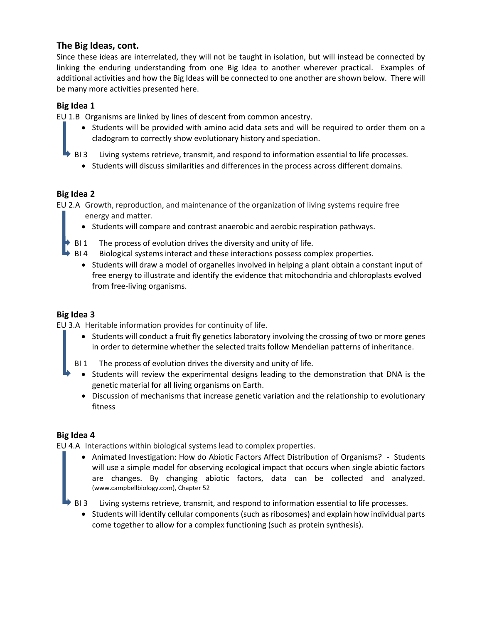#### **The Big Ideas, cont.**

Since these ideas are interrelated, they will not be taught in isolation, but will instead be connected by linking the enduring understanding from one Big Idea to another wherever practical. Examples of additional activities and how the Big Ideas will be connected to one another are shown below. There will be many more activities presented here.

#### **Big Idea 1**

EU 1.B Organisms are linked by lines of descent from common ancestry.

- Students will be provided with amino acid data sets and will be required to order them on a cladogram to correctly show evolutionary history and speciation.
- BI 3 Living systems retrieve, transmit, and respond to information essential to life processes.
	- Students will discuss similarities and differences in the process across different domains.

#### **Big Idea 2**

EU 2.A Growth, reproduction, and maintenance of the organization of living systems require free energy and matter.

- Students will compare and contrast anaerobic and aerobic respiration pathways.
- BI 1 The process of evolution drives the diversity and unity of life.
- BI 4 Biological systems interact and these interactions possess complex properties.
	- Students will draw a model of organelles involved in helping a plant obtain a constant input of free energy to illustrate and identify the evidence that mitochondria and chloroplasts evolved from free-living organisms.

#### **Big Idea 3**

EU 3.A Heritable information provides for continuity of life.

• Students will conduct a fruit fly genetics laboratory involving the crossing of two or more genes in order to determine whether the selected traits follow Mendelian patterns of inheritance.

BI 1 The process of evolution drives the diversity and unity of life.

- Students will review the experimental designs leading to the demonstration that DNA is the genetic material for all living organisms on Earth.
- Discussion of mechanisms that increase genetic variation and the relationship to evolutionary fitness

#### **Big Idea 4**

EU 4.A Interactions within biological systems lead to complex properties.

• Animated Investigation: How do Abiotic Factors Affect Distribution of Organisms? - Students will use a simple model for observing ecological impact that occurs when single abiotic factors are changes. By changing abiotic factors, data can be collected and analyzed. (www.campbellbiology.com), Chapter 52

BI 3 Living systems retrieve, transmit, and respond to information essential to life processes.

• Students will identify cellular components (such as ribosomes) and explain how individual parts come together to allow for a complex functioning (such as protein synthesis).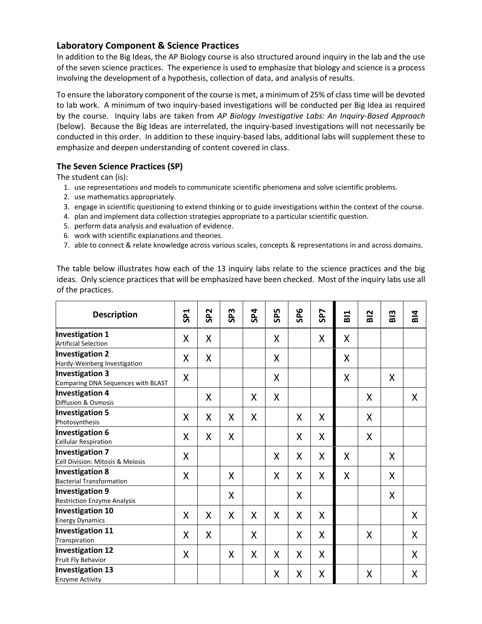#### **Laboratory Component & Science Practices**

In addition to the Big Ideas, the AP Biology course is also structured around inquiry in the lab and the use of the seven science practices. The experience is used to emphasize that biology and science is a process involving the development of a hypothesis, collection of data, and analysis of results.

To ensure the laboratory component of the course is met, a minimum of 25% of class time will be devoted to lab work. A minimum of two inquiry-based investigations will be conducted per Big Idea as required by the course. Inquiry labs are taken from *AP Biology Investigative Labs: An Inquiry-Based Approach* (below). Because the Big Ideas are interrelated, the inquiry-based investigations will not necessarily be conducted in this order. In addition to these inquiry-based labs, additional labs will supplement these to emphasize and deepen understanding of content covered in class.

#### **The Seven Science Practices (SP)**

The student can (is):

- 1. use representations and models to communicate scientific phenomena and solve scientific problems.
- 2. use mathematics appropriately.
- 3. engage in scientific questioning to extend thinking or to guide investigations within the context of the course.
- 4. plan and implement data collection strategies appropriate to a particular scientific question.
- 5. perform data analysis and evaluation of evidence.
- 6. work with scientific explanations and theories.
- 7. able to connect & relate knowledge across various scales, concepts & representations in and across domains.

The table below illustrates how each of the 13 inquiry labs relate to the science practices and the big ideas. Only science practices that will be emphasized have been checked. Most of the inquiry labs use all of the practices.

| <b>Description</b>                                           | SP <sub>1</sub> | SP <sub>2</sub> | m<br>Ö, | SP4 | 50<br><b>S</b> | SP <sub>6</sub> | SP7 | B11 | <b>BI2</b> | <b>BI3</b> | B14 |
|--------------------------------------------------------------|-----------------|-----------------|---------|-----|----------------|-----------------|-----|-----|------------|------------|-----|
| <b>Investigation 1</b><br><b>Artificial Selection</b>        | X               | X               |         |     | X              |                 | X   | X   |            |            |     |
| <b>Investigation 2</b><br>Hardy-Weinberg Investigation       | X               | X               |         |     | X              |                 |     | Χ   |            |            |     |
| <b>Investigation 3</b><br>Comparing DNA Sequences with BLAST | X               |                 |         |     | X              |                 |     | X   |            | X          |     |
| <b>Investigation 4</b><br>Diffusion & Osmosis                |                 | X               |         | X   | X              |                 |     |     | X          |            | X   |
| <b>Investigation 5</b><br>Photosynthesis                     | Χ               | X               | X       | X   |                | X               | X   |     | X          |            |     |
| <b>Investigation 6</b><br><b>Cellular Respiration</b>        | X               | X               | X       |     |                | X               | X   |     | X          |            |     |
| <b>Investigation 7</b><br>Cell Division: Mitosis & Meiosis   | X               |                 |         |     | X              | X               | X   | X   |            | X          |     |
| <b>Investigation 8</b><br><b>Bacterial Transformation</b>    | X               |                 | X       |     | X              | X               | X   | X   |            | X          |     |
| <b>Investigation 9</b><br><b>Restriction Enzyme Analysis</b> |                 |                 | X       |     |                | X               |     |     |            | X          |     |
| <b>Investigation 10</b><br><b>Energy Dynamics</b>            | X               | X               | X       | Χ   | X              | X               | X   |     |            |            | X   |
| <b>Investigation 11</b><br>Transpiration                     | X               | X               |         | X   |                | X               | X   |     | X          |            | X   |
| <b>Investigation 12</b><br>Fruit Fly Behavior                | X               |                 | X       | X   | X              | X               | X   |     |            |            | X   |
| <b>Investigation 13</b><br><b>Enzyme Activity</b>            |                 |                 |         |     | X              | X               | X   |     | X          |            | Χ   |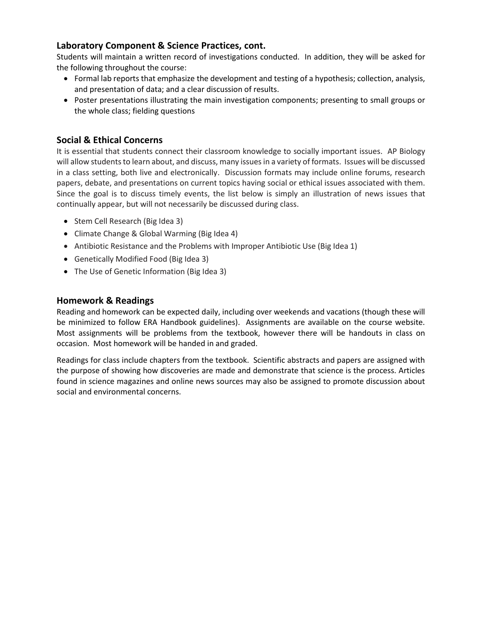# **Laboratory Component & Science Practices, cont.**

Students will maintain a written record of investigations conducted. In addition, they will be asked for the following throughout the course:

- Formal lab reports that emphasize the development and testing of a hypothesis; collection, analysis, and presentation of data; and a clear discussion of results.
- Poster presentations illustrating the main investigation components; presenting to small groups or the whole class; fielding questions

### **Social & Ethical Concerns**

It is essential that students connect their classroom knowledge to socially important issues. AP Biology will allow students to learn about, and discuss, many issues in a variety of formats. Issues will be discussed in a class setting, both live and electronically. Discussion formats may include online forums, research papers, debate, and presentations on current topics having social or ethical issues associated with them. Since the goal is to discuss timely events, the list below is simply an illustration of news issues that continually appear, but will not necessarily be discussed during class.

- Stem Cell Research (Big Idea 3)
- Climate Change & Global Warming (Big Idea 4)
- Antibiotic Resistance and the Problems with Improper Antibiotic Use (Big Idea 1)
- Genetically Modified Food (Big Idea 3)
- The Use of Genetic Information (Big Idea 3)

#### **Homework & Readings**

Reading and homework can be expected daily, including over weekends and vacations (though these will be minimized to follow ERA Handbook guidelines). Assignments are available on the course website. Most assignments will be problems from the textbook, however there will be handouts in class on occasion. Most homework will be handed in and graded.

Readings for class include chapters from the textbook. Scientific abstracts and papers are assigned with the purpose of showing how discoveries are made and demonstrate that science is the process. Articles found in science magazines and online news sources may also be assigned to promote discussion about social and environmental concerns.